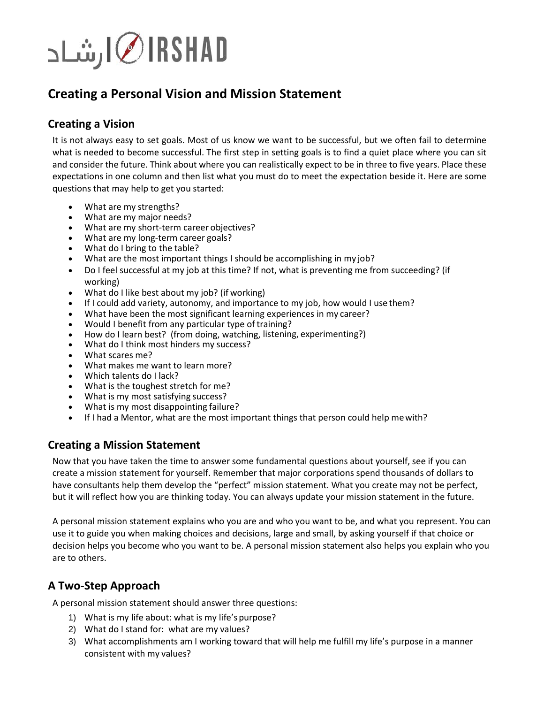

# **Creating a Personal Vision and Mission Statement**

### **Creating a Vision**

It is not always easy to set goals. Most of us know we want to be successful, but we often fail to determine what is needed to become successful. The first step in setting goals is to find a quiet place where you can sit and consider the future. Think about where you can realistically expect to be in three to five years. Place these expectations in one column and then list what you must do to meet the expectation beside it. Here are some questions that may help to get you started:

- What are my strengths?
- What are my major needs?
- What are my short-term career objectives?
- What are my long-term career goals?<br>• What do I bring to the table?
- What do I bring to the table?
- What are the most important things I should be accomplishing in my job?
- Do I feel successful at my job at this time? If not, what is preventing me from succeeding? (if working)
- What do I like best about my job? (if working)
- If I could add variety, autonomy, and importance to my job, how would I use them?
- What have been the most significant learning experiences in my career?
- Would I benefit from any particular type of training?
- How do I learn best? (from doing, watching, listening, experimenting?)
- What do I think most hinders my success?
- What scares me?
- What makes me want to learn more?
- Which talents do I lack?
- What is the toughest stretch for me?
- What is my most satisfying success?
- What is my most disappointing failure?
- If I had a Mentor, what are the most important things that person could help mewith?

#### **Creating a Mission Statement**

Now that you have taken the time to answer some fundamental questions about yourself, see if you can create a mission statement for yourself. Remember that major corporations spend thousands of dollars to have consultants help them develop the "perfect" mission statement. What you create may not be perfect, but it will reflect how you are thinking today. You can always update your mission statement in the future.

A personal mission statement explains who you are and who you want to be, and what you represent. You can use it to guide you when making choices and decisions, large and small, by asking yourself if that choice or decision helps you become who you want to be. A personal mission statement also helps you explain who you are to others.

## **A Two-Step Approach**

A personal mission statement should answer three questions:

- 1) What is my life about: what is my life's purpose?
- 2) What do I stand for: what are my values?
- 3) What accomplishments am I working toward that will help me fulfill my life's purpose in a manner consistent with my values?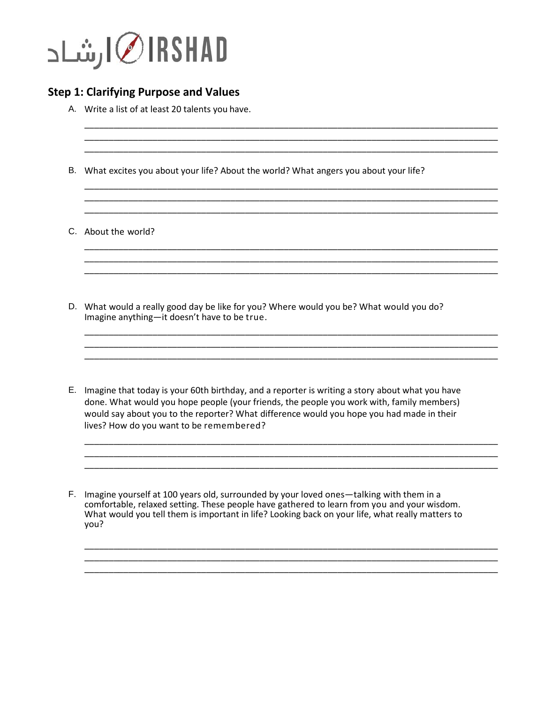

### **Step 1: Clarifying Purpose and Values**

A. Write a list of at least 20 talents you have.

B. What excites you about your life? About the world? What angers you about your life?

\_\_\_\_\_\_\_\_\_\_\_\_\_\_\_\_\_\_\_\_\_\_\_\_\_\_\_\_\_\_\_\_\_\_\_\_\_\_\_\_\_\_\_\_\_\_\_\_\_\_\_\_\_\_\_\_\_\_\_\_\_\_\_\_\_\_\_\_\_\_\_\_\_\_\_\_\_\_\_\_\_\_\_\_\_ \_\_\_\_\_\_\_\_\_\_\_\_\_\_\_\_\_\_\_\_\_\_\_\_\_\_\_\_\_\_\_\_\_\_\_\_\_\_\_\_\_\_\_\_\_\_\_\_\_\_\_\_\_\_\_\_\_\_\_\_\_\_\_\_\_\_\_\_\_\_\_\_\_\_\_\_\_\_\_\_\_\_\_\_\_ \_\_\_\_\_\_\_\_\_\_\_\_\_\_\_\_\_\_\_\_\_\_\_\_\_\_\_\_\_\_\_\_\_\_\_\_\_\_\_\_\_\_\_\_\_\_\_\_\_\_\_\_\_\_\_\_\_\_\_\_\_\_\_\_\_\_\_\_\_\_\_\_\_\_\_\_\_\_\_\_\_\_\_\_\_

\_\_\_\_\_\_\_\_\_\_\_\_\_\_\_\_\_\_\_\_\_\_\_\_\_\_\_\_\_\_\_\_\_\_\_\_\_\_\_\_\_\_\_\_\_\_\_\_\_\_\_\_\_\_\_\_\_\_\_\_\_\_\_\_\_\_\_\_\_\_\_\_\_\_\_\_\_\_\_\_\_\_\_\_\_ \_\_\_\_\_\_\_\_\_\_\_\_\_\_\_\_\_\_\_\_\_\_\_\_\_\_\_\_\_\_\_\_\_\_\_\_\_\_\_\_\_\_\_\_\_\_\_\_\_\_\_\_\_\_\_\_\_\_\_\_\_\_\_\_\_\_\_\_\_\_\_\_\_\_\_\_\_\_\_\_\_\_\_\_\_

\_\_\_\_\_\_\_\_\_\_\_\_\_\_\_\_\_\_\_\_\_\_\_\_\_\_\_\_\_\_\_\_\_\_\_\_\_\_\_\_\_\_\_\_\_\_\_\_\_\_\_\_\_\_\_\_\_\_\_\_\_\_\_\_\_\_\_\_\_\_\_\_\_\_\_\_\_\_\_\_\_\_\_\_\_ \_\_\_\_\_\_\_\_\_\_\_\_\_\_\_\_\_\_\_\_\_\_\_\_\_\_\_\_\_\_\_\_\_\_\_\_\_\_\_\_\_\_\_\_\_\_\_\_\_\_\_\_\_\_\_\_\_\_\_\_\_\_\_\_\_\_\_\_\_\_\_\_\_\_\_\_\_\_\_\_\_\_\_\_\_ \_\_\_\_\_\_\_\_\_\_\_\_\_\_\_\_\_\_\_\_\_\_\_\_\_\_\_\_\_\_\_\_\_\_\_\_\_\_\_\_\_\_\_\_\_\_\_\_\_\_\_\_\_\_\_\_\_\_\_\_\_\_\_\_\_\_\_\_\_\_\_\_\_\_\_\_\_\_\_\_\_\_\_\_\_

\_\_\_\_\_\_\_\_\_\_\_\_\_\_\_\_\_\_\_\_\_\_\_\_\_\_\_\_\_\_\_\_\_\_\_\_\_\_\_\_\_\_\_\_\_\_\_\_\_\_\_\_\_\_\_\_\_\_\_\_\_\_\_\_\_\_\_\_\_\_\_\_\_\_\_\_\_\_\_\_\_\_\_\_\_ \_\_\_\_\_\_\_\_\_\_\_\_\_\_\_\_\_\_\_\_\_\_\_\_\_\_\_\_\_\_\_\_\_\_\_\_\_\_\_\_\_\_\_\_\_\_\_\_\_\_\_\_\_\_\_\_\_\_\_\_\_\_\_\_\_\_\_\_\_\_\_\_\_\_\_\_\_\_\_\_\_\_\_\_\_ \_\_\_\_\_\_\_\_\_\_\_\_\_\_\_\_\_\_\_\_\_\_\_\_\_\_\_\_\_\_\_\_\_\_\_\_\_\_\_\_\_\_\_\_\_\_\_\_\_\_\_\_\_\_\_\_\_\_\_\_\_\_\_\_\_\_\_\_\_\_\_\_\_\_\_\_\_\_\_\_\_\_\_\_\_

\_\_\_\_\_\_\_\_\_\_\_\_\_\_\_\_\_\_\_\_\_\_\_\_\_\_\_\_\_\_\_\_\_\_\_\_\_\_\_\_\_\_\_\_\_\_\_\_\_\_\_\_\_\_\_\_\_\_\_\_\_\_\_\_\_\_\_\_\_\_\_\_\_\_\_\_\_\_\_\_\_\_\_\_\_ \_\_\_\_\_\_\_\_\_\_\_\_\_\_\_\_\_\_\_\_\_\_\_\_\_\_\_\_\_\_\_\_\_\_\_\_\_\_\_\_\_\_\_\_\_\_\_\_\_\_\_\_\_\_\_\_\_\_\_\_\_\_\_\_\_\_\_\_\_\_\_\_\_\_\_\_\_\_\_\_\_\_\_\_\_ \_\_\_\_\_\_\_\_\_\_\_\_\_\_\_\_\_\_\_\_\_\_\_\_\_\_\_\_\_\_\_\_\_\_\_\_\_\_\_\_\_\_\_\_\_\_\_\_\_\_\_\_\_\_\_\_\_\_\_\_\_\_\_\_\_\_\_\_\_\_\_\_\_\_\_\_\_\_\_\_\_\_\_\_\_

\_\_\_\_\_\_\_\_\_\_\_\_\_\_\_\_\_\_\_\_\_\_\_\_\_\_\_\_\_\_\_\_\_\_\_\_\_\_\_\_\_\_\_\_\_\_\_\_\_\_\_\_\_\_\_\_\_\_\_\_\_\_\_\_\_\_\_\_\_\_\_\_\_\_\_\_\_\_\_\_\_\_\_\_\_ \_\_\_\_\_\_\_\_\_\_\_\_\_\_\_\_\_\_\_\_\_\_\_\_\_\_\_\_\_\_\_\_\_\_\_\_\_\_\_\_\_\_\_\_\_\_\_\_\_\_\_\_\_\_\_\_\_\_\_\_\_\_\_\_\_\_\_\_\_\_\_\_\_\_\_\_\_\_\_\_\_\_\_\_\_ \_\_\_\_\_\_\_\_\_\_\_\_\_\_\_\_\_\_\_\_\_\_\_\_\_\_\_\_\_\_\_\_\_\_\_\_\_\_\_\_\_\_\_\_\_\_\_\_\_\_\_\_\_\_\_\_\_\_\_\_\_\_\_\_\_\_\_\_\_\_\_\_\_\_\_\_\_\_\_\_\_\_\_\_\_

C. About the world?

- D. What would a really good day be like for you? Where would you be? What would you do? Imagine anything—it doesn't have to be true.
- E. Imagine that today is your 60th birthday, and a reporter is writing a story about what you have done. What would you hope people (your friends, the people you work with, family members) would say about you to the reporter? What difference would you hope you had made in their lives? How do you want to be remembered?

F. Imagine yourself at 100 years old, surrounded by your loved ones—talking with them in a comfortable, relaxed setting. These people have gathered to learn from you and your wisdom. What would you tell them is important in life? Looking back on your life, what really matters to you?